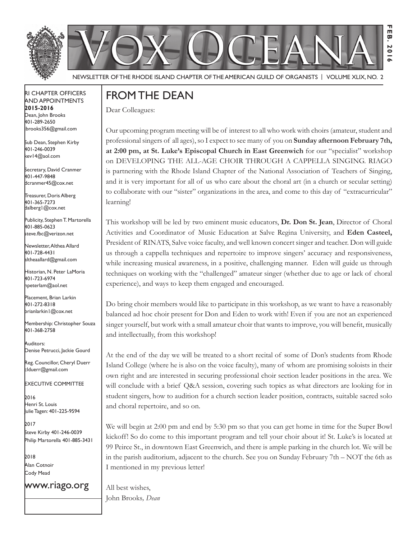



Newsletter of the Rhode Island Chapter of the American Guild of OrganistS | Volume XLIX, No. 2

#### RI Chapter Officers and Appointments **2015-2016** Dean, John Brooks 401-289-2650

Sub Dean, Stephen Kirby 401-246-0039 kev14@aol.com

jbrooks356@gmail.com

Secretary, David Cranmer 401-447-9848 dcranmer45@cox.net

Treasurer, Doris Alberg 401-365-7273 dalberg1@cox.net I

Publicity, Stephen T. Martorella 401-885-0623 steve.fbc@verizon.net

Newsletter, Althea Allard 401-728-4431 altheaallard@gmail.com

Historian, N. Peter LaMoria 401-723-6974 npeterlam@aol.net

Placement, Brian Larkin 401-272-8318 brianlarkin1@cox.net

Membership: Christopher Souza 401-368-2758

Auditors: Denise Petrucci, Jackie Gourd

Reg. Councillor, Cheryl Duerr clduerr@gmail.com

Executive Committee

2016 Henri St. Louis Julie Tagen: 401-225-9594

2017 Steve Kirby 401-246-0039 Philip Martorella 401-885-3431

2018 Alan Cotnoir Cody Mead

www.riago.org

## From the Dean

Dear Colleagues:

Our upcoming program meeting will be of interest to all who work with choirs (amateur, student and professional singers of all ages), so I expect to see many of you on **Sunday afternoon February 7th, at 2:00 pm, at St. Luke's Episcopal Church in East Greenwich** for our "specialist" workshop on DEVELOPING THE ALL-AGE CHOIR THROUGH A CAPPELLA SINGING. RIAGO is partnering with the Rhode Island Chapter of the National Association of Teachers of Singing, and it is very important for all of us who care about the choral art (in a church or secular setting) to collaborate with our "sister" organizations in the area, and come to this day of "extracurricular" learning!

**Feb. 2016**

Ш ē **201**  $\sim$ 

This workshop will be led by two eminent music educators, **Dr. Don St. Jean**, Director of Choral Activities and Coordinator of Music Education at Salve Regina University, and **Eden Casteel,**  President of RINATS, Salve voice faculty, and well known concert singer and teacher. Don will guide us through a cappella techniques and repertoire to improve singers' accuracy and responsiveness, while increasing musical awareness, in a positive, challenging manner. Eden will guide us through techniques on working with the "challenged" amateur singer (whether due to age or lack of choral experience), and ways to keep them engaged and encouraged.

Do bring choir members would like to participate in this workshop, as we want to have a reasonably balanced ad hoc choir present for Don and Eden to work with! Even if you are not an experienced singer yourself, but work with a small amateur choir that wants to improve, you will benefit, musically and intellectually, from this workshop!

At the end of the day we will be treated to a short recital of some of Don's students from Rhode Island College (where he is also on the voice faculty), many of whom are promising soloists in their own right and are interested in securing professional choir section leader positions in the area. We will conclude with a brief Q&A session, covering such topics as what directors are looking for in student singers, how to audition for a church section leader position, contracts, suitable sacred solo and choral repertoire, and so on.

We will begin at 2:00 pm and end by 5:30 pm so that you can get home in time for the Super Bowl kickoff! So do come to this important program and tell your choir about it! St. Luke's is located at 99 Peirce St., in downtown East Greenwich, and there is ample parking in the church lot. We will be in the parish auditorium, adjacent to the church. See you on Sunday February 7th – NOT the 6th as I mentioned in my previous letter!

All best wishes, John Brooks*, Dean*